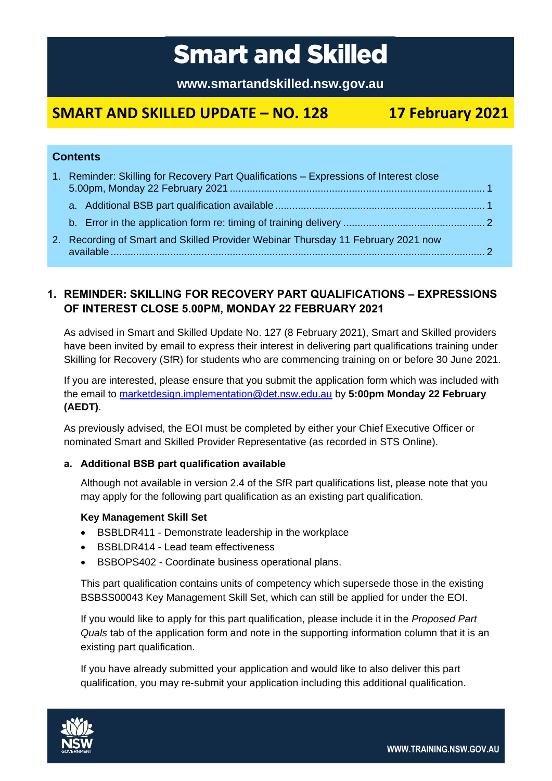# **Smart and Skilled**

**www.smartandskilled.nsw.gov.au**

## **SMART AND SKILLED UPDATE – NO. 128 17 February 2021**

#### **Contents**

| 1. Reminder: Skilling for Recovery Part Qualifications - Expressions of Interest close |  |
|----------------------------------------------------------------------------------------|--|
|                                                                                        |  |
|                                                                                        |  |
| 2. Recording of Smart and Skilled Provider Webinar Thursday 11 February 2021 now       |  |

### <span id="page-0-0"></span>**1. REMINDER: SKILLING FOR RECOVERY PART QUALIFICATIONS – EXPRESSIONS OF INTEREST CLOSE 5.00PM, MONDAY 22 FEBRUARY 2021**

As advised in Smart and Skilled Update No. 127 (8 February 2021), Smart and Skilled providers have been invited by email to express their interest in delivering part qualifications training under Skilling for Recovery (SfR) for students who are commencing training on or before 30 June 2021.

If you are interested, please ensure that you submit the application form which was included with the email to [marketdesign.implementation@det.nsw.edu.au](mailto:marketdesign.implementation@det.nsw.edu.au) by **5:00pm Monday 22 February (AEDT)**.

As previously advised, the EOI must be completed by either your Chief Executive Officer or nominated Smart and Skilled Provider Representative (as recorded in STS Online).

#### <span id="page-0-1"></span>**a. Additional BSB part qualification available**

Although not available in version 2.4 of the SfR part qualifications list, please note that you may apply for the following part qualification as an existing part qualification.

#### **Key Management Skill Set**

- BSBLDR411 Demonstrate leadership in the workplace
- BSBLDR414 Lead team effectiveness
- BSBOPS402 Coordinate business operational plans.

This part qualification contains units of competency which supersede those in the existing BSBSS00043 Key Management Skill Set, which can still be applied for under the EOI.

If you would like to apply for this part qualification, please include it in the *Proposed Part Quals* tab of the application form and note in the supporting information column that it is an existing part qualification.

If you have already submitted your application and would like to also deliver this part qualification, you may re-submit your application including this additional qualification.